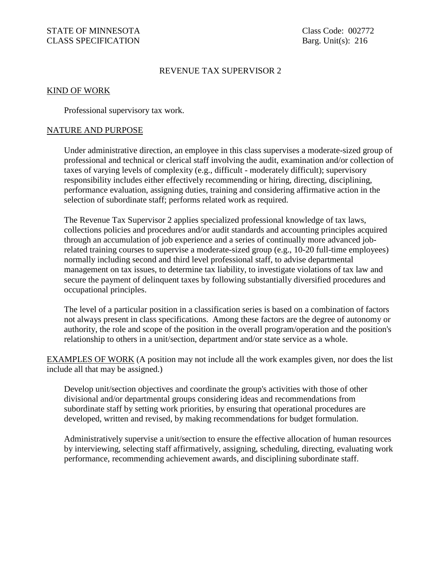## REVENUE TAX SUPERVISOR 2

### KIND OF WORK

Professional supervisory tax work.

### NATURE AND PURPOSE

Under administrative direction, an employee in this class supervises a moderate-sized group of professional and technical or clerical staff involving the audit, examination and/or collection of taxes of varying levels of complexity (e.g., difficult - moderately difficult); supervisory responsibility includes either effectively recommending or hiring, directing, disciplining, performance evaluation, assigning duties, training and considering affirmative action in the selection of subordinate staff; performs related work as required.

The Revenue Tax Supervisor 2 applies specialized professional knowledge of tax laws, collections policies and procedures and/or audit standards and accounting principles acquired through an accumulation of job experience and a series of continually more advanced jobrelated training courses to supervise a moderate-sized group (e.g., 10-20 full-time employees) normally including second and third level professional staff, to advise departmental management on tax issues, to determine tax liability, to investigate violations of tax law and secure the payment of delinquent taxes by following substantially diversified procedures and occupational principles.

The level of a particular position in a classification series is based on a combination of factors not always present in class specifications. Among these factors are the degree of autonomy or authority, the role and scope of the position in the overall program/operation and the position's relationship to others in a unit/section, department and/or state service as a whole.

EXAMPLES OF WORK (A position may not include all the work examples given, nor does the list include all that may be assigned.)

Develop unit/section objectives and coordinate the group's activities with those of other divisional and/or departmental groups considering ideas and recommendations from subordinate staff by setting work priorities, by ensuring that operational procedures are developed, written and revised, by making recommendations for budget formulation.

Administratively supervise a unit/section to ensure the effective allocation of human resources by interviewing, selecting staff affirmatively, assigning, scheduling, directing, evaluating work performance, recommending achievement awards, and disciplining subordinate staff.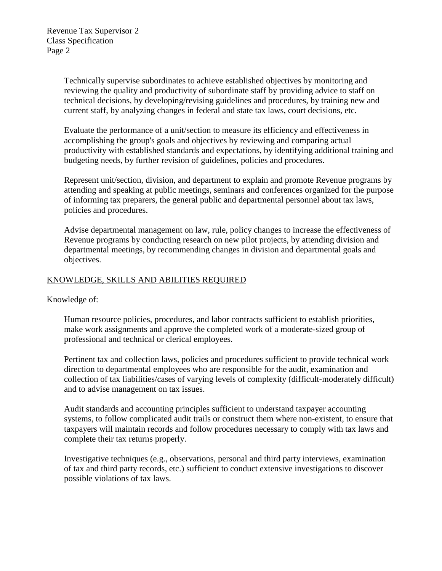Technically supervise subordinates to achieve established objectives by monitoring and reviewing the quality and productivity of subordinate staff by providing advice to staff on technical decisions, by developing/revising guidelines and procedures, by training new and current staff, by analyzing changes in federal and state tax laws, court decisions, etc.

Evaluate the performance of a unit/section to measure its efficiency and effectiveness in accomplishing the group's goals and objectives by reviewing and comparing actual productivity with established standards and expectations, by identifying additional training and budgeting needs, by further revision of guidelines, policies and procedures.

Represent unit/section, division, and department to explain and promote Revenue programs by attending and speaking at public meetings, seminars and conferences organized for the purpose of informing tax preparers, the general public and departmental personnel about tax laws, policies and procedures.

Advise departmental management on law, rule, policy changes to increase the effectiveness of Revenue programs by conducting research on new pilot projects, by attending division and departmental meetings, by recommending changes in division and departmental goals and objectives.

# KNOWLEDGE, SKILLS AND ABILITIES REQUIRED

Knowledge of:

Human resource policies, procedures, and labor contracts sufficient to establish priorities, make work assignments and approve the completed work of a moderate-sized group of professional and technical or clerical employees.

Pertinent tax and collection laws, policies and procedures sufficient to provide technical work direction to departmental employees who are responsible for the audit, examination and collection of tax liabilities/cases of varying levels of complexity (difficult-moderately difficult) and to advise management on tax issues.

Audit standards and accounting principles sufficient to understand taxpayer accounting systems, to follow complicated audit trails or construct them where non-existent, to ensure that taxpayers will maintain records and follow procedures necessary to comply with tax laws and complete their tax returns properly.

Investigative techniques (e.g., observations, personal and third party interviews, examination of tax and third party records, etc.) sufficient to conduct extensive investigations to discover possible violations of tax laws.